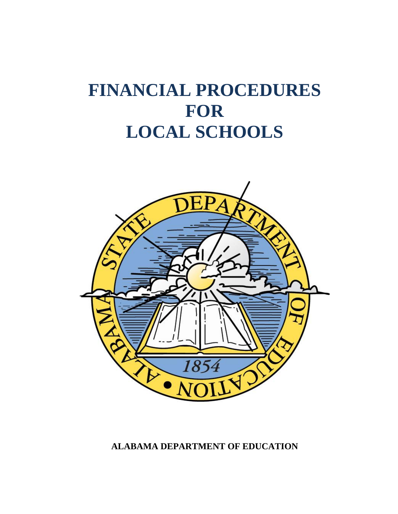# **FINANCIAL PROCEDURES FOR LOCAL SCHOOLS**



**ALABAMA DEPARTMENT OF EDUCATION**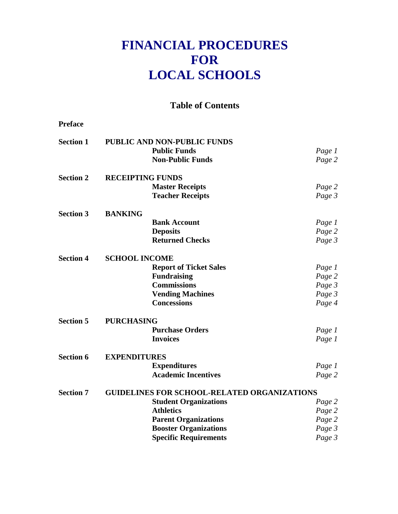# **FINANCIAL PROCEDURES FOR LOCAL SCHOOLS**

**Table of Contents**

**Preface**

**Section 1 PUBLIC AND NON-PUBLIC FUNDS Public Funds** *Page 1* **Non-Public Funds** *Page 2* **Section 2 RECEIPTING FUNDS Master Receipts** *Page 2* **Teacher Receipts** *Page 3* **Section 3 BANKING Bank Account** *Page 1* **Deposits** *Page 2* **Returned Checks** *Page 3* **Section 4 SCHOOL INCOME Report of Ticket Sales** *Page 1* **Fundraising** *Page 2* **Commissions** *Page 3* **Vending Machines** *Page 3* **Concessions** *Page 4* **Section 5 PURCHASING Purchase Orders** *Page 1* **Invoices** *Page 1* **Section 6 EXPENDITURES Expenditures** *Page 1* **Academic Incentives** *Page 2* **Section 7 GUIDELINES FOR SCHOOL-RELATED ORGANIZATIONS Student Organizations** *Page 2* **Athletics** *Page 2* **Parent Organizations** *Page 2* **Booster Organizations** *Page 3* **Specific Requirements** *Page 3*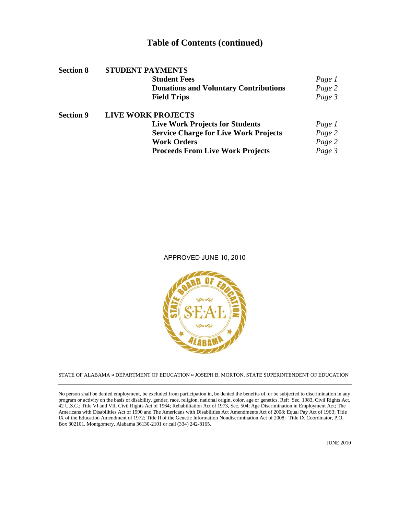# **Table of Contents (continued)**

| <b>Section 8</b> | <b>STUDENT PAYMENTS</b>                      |        |
|------------------|----------------------------------------------|--------|
|                  | <b>Student Fees</b>                          | Page 1 |
|                  | <b>Donations and Voluntary Contributions</b> | Page 2 |
|                  | <b>Field Trips</b>                           | Page 3 |
| <b>Section 9</b> | <b>LIVE WORK PROJECTS</b>                    |        |
|                  | <b>Live Work Projects for Students</b>       | Page 1 |
|                  | <b>Service Charge for Live Work Projects</b> | Page 2 |
|                  | <b>Work Orders</b>                           | Page 2 |
|                  | <b>Proceeds From Live Work Projects</b>      | Page 3 |

#### APPROVED JUNE 10, 2010



STATE OF ALABAMA **¤** DEPARTMENT OF EDUCATION **¤** JOSEPH B. MORTON, STATE SUPERINTENDENT OF EDUCATION

No person shall be denied employment, be excluded from participation in, be denied the benefits of, or be subjected to discrimination in any program or activity on the basis of disability, gender, race, religion, national origin, color, age or genetics. Ref: Sec. 1983, Civil Rights Act, 42 U.S.C.; Title VI and VII, Civil Rights Act of 1964; Rehabilitation Act of 1973, Sec. 504; Age Discrimination in Employment Act; The Americans with Disabilities Act of 1990 and The Americans with Disabilities Act Amendments Act of 2008; Equal Pay Act of 1963; Title IX of the Education Amendment of 1972; Title II of the Genetic Information Nondiscrimination Act of 2008: Title IX Coordinator, P.O. Box 302101, Montgomery, Alabama 36130-2101 or call (334) 242-8165.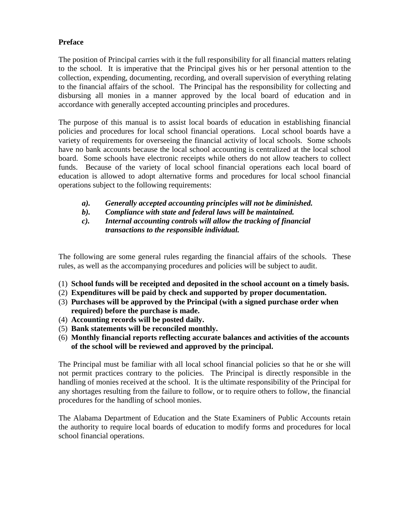# **Preface**

The position of Principal carries with it the full responsibility for all financial matters relating to the school. It is imperative that the Principal gives his or her personal attention to the collection, expending, documenting, recording, and overall supervision of everything relating to the financial affairs of the school. The Principal has the responsibility for collecting and disbursing all monies in a manner approved by the local board of education and in accordance with generally accepted accounting principles and procedures.

The purpose of this manual is to assist local boards of education in establishing financial policies and procedures for local school financial operations. Local school boards have a variety of requirements for overseeing the financial activity of local schools. Some schools have no bank accounts because the local school accounting is centralized at the local school board. Some schools have electronic receipts while others do not allow teachers to collect funds. Because of the variety of local school financial operations each local board of education is allowed to adopt alternative forms and procedures for local school financial operations subject to the following requirements:

- *a). Generally accepted accounting principles will not be diminished.*
- *b). Compliance with state and federal laws will be maintained.*
- *c). Internal accounting controls will allow the tracking of financial transactions to the responsible individual.*

The following are some general rules regarding the financial affairs of the schools. These rules, as well as the accompanying procedures and policies will be subject to audit.

- (1) **School funds will be receipted and deposited in the school account on a timely basis.**
- (2) **Expenditures will be paid by check and supported by proper documentation.**
- (3) **Purchases will be approved by the Principal (with a signed purchase order when required) before the purchase is made.**
- (4) **Accounting records will be posted daily.**
- (5) **Bank statements will be reconciled monthly.**
- (6) **Monthly financial reports reflecting accurate balances and activities of the accounts of the school will be reviewed and approved by the principal.**

The Principal must be familiar with all local school financial policies so that he or she will not permit practices contrary to the policies. The Principal is directly responsible in the handling of monies received at the school. It is the ultimate responsibility of the Principal for any shortages resulting from the failure to follow, or to require others to follow, the financial procedures for the handling of school monies.

The Alabama Department of Education and the State Examiners of Public Accounts retain the authority to require local boards of education to modify forms and procedures for local school financial operations.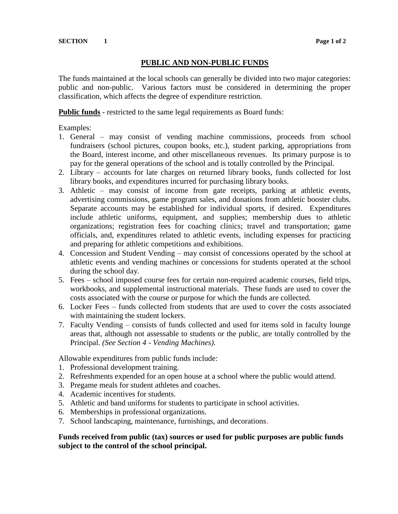# **PUBLIC AND NON-PUBLIC FUNDS**

The funds maintained at the local schools can generally be divided into two major categories: public and non-public. Various factors must be considered in determining the proper classification, which affects the degree of expenditure restriction.

**Public funds** - restricted to the same legal requirements as Board funds:

Examples:

- 1. General may consist of vending machine commissions, proceeds from school fundraisers (school pictures, coupon books, etc.), student parking, appropriations from the Board, interest income, and other miscellaneous revenues. Its primary purpose is to pay for the general operations of the school and is totally controlled by the Principal.
- 2. Library accounts for late charges on returned library books, funds collected for lost library books, and expenditures incurred for purchasing library books.
- 3. Athletic may consist of income from gate receipts, parking at athletic events, advertising commissions, game program sales, and donations from athletic booster clubs. Separate accounts may be established for individual sports, if desired. Expenditures include athletic uniforms, equipment, and supplies; membership dues to athletic organizations; registration fees for coaching clinics; travel and transportation; game officials, and, expenditures related to athletic events, including expenses for practicing and preparing for athletic competitions and exhibitions.
- 4. Concession and Student Vending may consist of concessions operated by the school at athletic events and vending machines or concessions for students operated at the school during the school day.
- 5. Fees school imposed course fees for certain non-required academic courses, field trips, workbooks, and supplemental instructional materials. These funds are used to cover the costs associated with the course or purpose for which the funds are collected.
- 6. Locker Fees funds collected from students that are used to cover the costs associated with maintaining the student lockers.
- 7. Faculty Vending consists of funds collected and used for items sold in faculty lounge areas that, although not assessable to students or the public, are totally controlled by the Principal. *(See Section 4 - Vending Machines).*

Allowable expenditures from public funds include:

- 1. Professional development training.
- 2. Refreshments expended for an open house at a school where the public would attend.
- 3. Pregame meals for student athletes and coaches.
- 4. Academic incentives for students.
- 5. Athletic and band uniforms for students to participate in school activities.
- 6. Memberships in professional organizations.
- 7. School landscaping, maintenance, furnishings, and decorations.

#### **Funds received from public (tax) sources or used for public purposes are public funds subject to the control of the school principal.**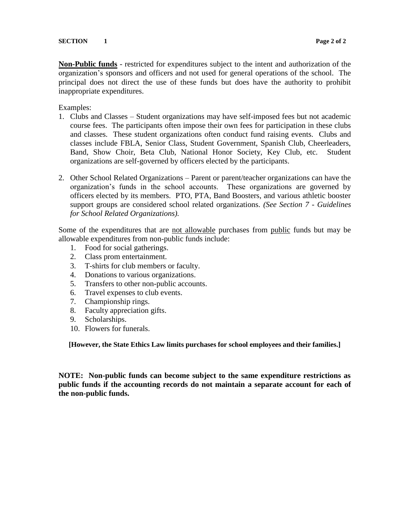**Non-Public funds** - restricted for expenditures subject to the intent and authorization of the organization's sponsors and officers and not used for general operations of the school. The principal does not direct the use of these funds but does have the authority to prohibit inappropriate expenditures.

Examples:

- 1. Clubs and Classes Student organizations may have self-imposed fees but not academic course fees. The participants often impose their own fees for participation in these clubs and classes. These student organizations often conduct fund raising events. Clubs and classes include FBLA, Senior Class, Student Government, Spanish Club, Cheerleaders, Band, Show Choir, Beta Club, National Honor Society, Key Club, etc. Student organizations are self-governed by officers elected by the participants.
- 2. Other School Related Organizations Parent or parent/teacher organizations can have the organization's funds in the school accounts. These organizations are governed by officers elected by its members. PTO, PTA, Band Boosters, and various athletic booster support groups are considered school related organizations. *(See Section 7 - Guidelines for School Related Organizations).*

Some of the expenditures that are not allowable purchases from public funds but may be allowable expenditures from non-public funds include:

- 1. Food for social gatherings.
- 2. Class prom entertainment.
- 3. T-shirts for club members or faculty.
- 4. Donations to various organizations.
- 5. Transfers to other non-public accounts.
- 6. Travel expenses to club events.
- 7. Championship rings.
- 8. Faculty appreciation gifts.
- 9. Scholarships.
- 10. Flowers for funerals.

**[However, the State Ethics Law limits purchases for school employees and their families.]**

**NOTE: Non-public funds can become subject to the same expenditure restrictions as public funds if the accounting records do not maintain a separate account for each of the non-public funds.**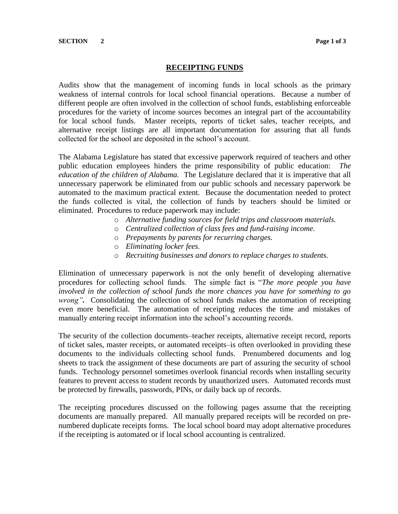#### **RECEIPTING FUNDS**

Audits show that the management of incoming funds in local schools as the primary weakness of internal controls for local school financial operations. Because a number of different people are often involved in the collection of school funds, establishing enforceable procedures for the variety of income sources becomes an integral part of the accountability for local school funds. Master receipts, reports of ticket sales, teacher receipts, and alternative receipt listings are all important documentation for assuring that all funds collected for the school are deposited in the school's account.

The Alabama Legislature has stated that excessive paperwork required of teachers and other public education employees hinders the prime responsibility of public education: *The education of the children of Alabama.* The Legislature declared that it is imperative that all unnecessary paperwork be eliminated from our public schools and necessary paperwork be automated to the maximum practical extent. Because the documentation needed to protect the funds collected is vital, the collection of funds by teachers should be limited or eliminated. Procedures to reduce paperwork may include:

- o *Alternative funding sources for field trips and classroom materials.*
- o *Centralized collection of class fees and fund-raising income.*
- o *Prepayments by parents for recurring charges.*
- o *Eliminating locker fees.*
- o *Recruiting businesses and donors to replace charges to students.*

Elimination of unnecessary paperwork is not the only benefit of developing alternative procedures for collecting school funds. The simple fact is "*The more people you have involved in the collection of school funds the more chances you have for something to go wrong".* Consolidating the collection of school funds makes the automation of receipting even more beneficial. The automation of receipting reduces the time and mistakes of manually entering receipt information into the school's accounting records.

The security of the collection documents–teacher receipts, alternative receipt record, reports of ticket sales, master receipts, or automated receipts–is often overlooked in providing these documents to the individuals collecting school funds. Prenumbered documents and log sheets to track the assignment of these documents are part of assuring the security of school funds. Technology personnel sometimes overlook financial records when installing security features to prevent access to student records by unauthorized users. Automated records must be protected by firewalls, passwords, PINs, or daily back up of records.

The receipting procedures discussed on the following pages assume that the receipting documents are manually prepared. All manually prepared receipts will be recorded on prenumbered duplicate receipts forms. The local school board may adopt alternative procedures if the receipting is automated or if local school accounting is centralized.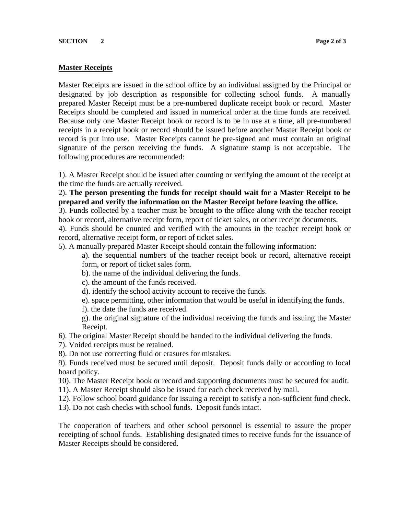#### **Master Receipts**

Master Receipts are issued in the school office by an individual assigned by the Principal or designated by job description as responsible for collecting school funds. A manually prepared Master Receipt must be a pre-numbered duplicate receipt book or record. Master Receipts should be completed and issued in numerical order at the time funds are received. Because only one Master Receipt book or record is to be in use at a time, all pre-numbered receipts in a receipt book or record should be issued before another Master Receipt book or record is put into use. Master Receipts cannot be pre-signed and must contain an original signature of the person receiving the funds. A signature stamp is not acceptable. The following procedures are recommended:

1). A Master Receipt should be issued after counting or verifying the amount of the receipt at the time the funds are actually received.

2). **The person presenting the funds for receipt should wait for a Master Receipt to be prepared and verify the information on the Master Receipt before leaving the office.**

3). Funds collected by a teacher must be brought to the office along with the teacher receipt book or record, alternative receipt form, report of ticket sales, or other receipt documents.

4). Funds should be counted and verified with the amounts in the teacher receipt book or record, alternative receipt form, or report of ticket sales.

5). A manually prepared Master Receipt should contain the following information:

a). the sequential numbers of the teacher receipt book or record, alternative receipt form, or report of ticket sales form.

- b). the name of the individual delivering the funds.
- c). the amount of the funds received.
- d). identify the school activity account to receive the funds.
- e). space permitting, other information that would be useful in identifying the funds.
- f). the date the funds are received.

g). the original signature of the individual receiving the funds and issuing the Master Receipt.

6). The original Master Receipt should be handed to the individual delivering the funds.

- 7). Voided receipts must be retained.
- 8). Do not use correcting fluid or erasures for mistakes.

9). Funds received must be secured until deposit. Deposit funds daily or according to local board policy.

- 10). The Master Receipt book or record and supporting documents must be secured for audit.
- 11). A Master Receipt should also be issued for each check received by mail.
- 12). Follow school board guidance for issuing a receipt to satisfy a non-sufficient fund check.
- 13). Do not cash checks with school funds. Deposit funds intact.

The cooperation of teachers and other school personnel is essential to assure the proper receipting of school funds. Establishing designated times to receive funds for the issuance of Master Receipts should be considered.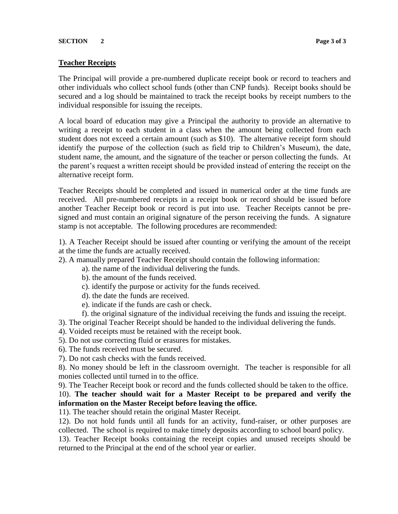#### **SECTION** 2 **Page 3 of 3**

#### **Teacher Receipts**

The Principal will provide a pre-numbered duplicate receipt book or record to teachers and other individuals who collect school funds (other than CNP funds). Receipt books should be secured and a log should be maintained to track the receipt books by receipt numbers to the individual responsible for issuing the receipts.

A local board of education may give a Principal the authority to provide an alternative to writing a receipt to each student in a class when the amount being collected from each student does not exceed a certain amount (such as \$10). The alternative receipt form should identify the purpose of the collection (such as field trip to Children's Museum), the date, student name, the amount, and the signature of the teacher or person collecting the funds. At the parent's request a written receipt should be provided instead of entering the receipt on the alternative receipt form.

Teacher Receipts should be completed and issued in numerical order at the time funds are received. All pre-numbered receipts in a receipt book or record should be issued before another Teacher Receipt book or record is put into use. Teacher Receipts cannot be presigned and must contain an original signature of the person receiving the funds. A signature stamp is not acceptable. The following procedures are recommended:

1). A Teacher Receipt should be issued after counting or verifying the amount of the receipt at the time the funds are actually received.

- 2). A manually prepared Teacher Receipt should contain the following information:
	- a). the name of the individual delivering the funds.
	- b). the amount of the funds received.
	- c). identify the purpose or activity for the funds received.
	- d). the date the funds are received.
	- e). indicate if the funds are cash or check.
	- f). the original signature of the individual receiving the funds and issuing the receipt.
- 3). The original Teacher Receipt should be handed to the individual delivering the funds.
- 4). Voided receipts must be retained with the receipt book.
- 5). Do not use correcting fluid or erasures for mistakes.
- 6). The funds received must be secured.
- 7). Do not cash checks with the funds received.

8). No money should be left in the classroom overnight. The teacher is responsible for all monies collected until turned in to the office.

9). The Teacher Receipt book or record and the funds collected should be taken to the office.

10). **The teacher should wait for a Master Receipt to be prepared and verify the information on the Master Receipt before leaving the office.**

11). The teacher should retain the original Master Receipt.

12). Do not hold funds until all funds for an activity, fund-raiser, or other purposes are collected. The school is required to make timely deposits according to school board policy.

13). Teacher Receipt books containing the receipt copies and unused receipts should be returned to the Principal at the end of the school year or earlier.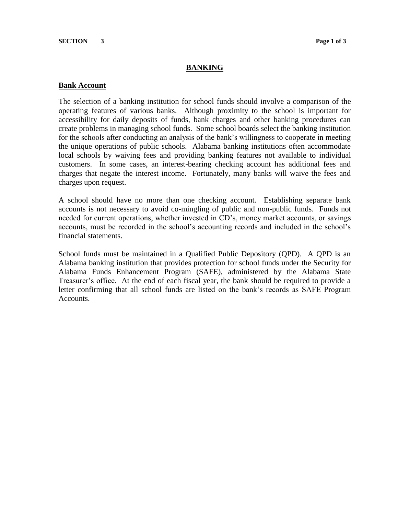#### **SECTION** 3 **Page 1 of 3**

#### **BANKING**

#### **Bank Account**

The selection of a banking institution for school funds should involve a comparison of the operating features of various banks. Although proximity to the school is important for accessibility for daily deposits of funds, bank charges and other banking procedures can create problems in managing school funds. Some school boards select the banking institution for the schools after conducting an analysis of the bank's willingness to cooperate in meeting the unique operations of public schools. Alabama banking institutions often accommodate local schools by waiving fees and providing banking features not available to individual customers. In some cases, an interest-bearing checking account has additional fees and charges that negate the interest income. Fortunately, many banks will waive the fees and charges upon request.

A school should have no more than one checking account. Establishing separate bank accounts is not necessary to avoid co-mingling of public and non-public funds. Funds not needed for current operations, whether invested in CD's, money market accounts, or savings accounts, must be recorded in the school's accounting records and included in the school's financial statements.

School funds must be maintained in a Qualified Public Depository (QPD). A QPD is an Alabama banking institution that provides protection for school funds under the Security for Alabama Funds Enhancement Program (SAFE), administered by the Alabama State Treasurer's office. At the end of each fiscal year, the bank should be required to provide a letter confirming that all school funds are listed on the bank's records as SAFE Program Accounts.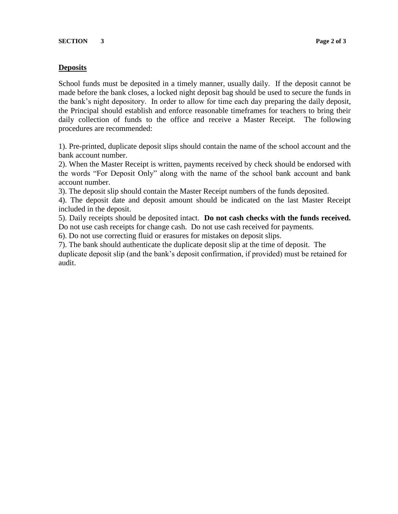#### **Deposits**

School funds must be deposited in a timely manner, usually daily. If the deposit cannot be made before the bank closes, a locked night deposit bag should be used to secure the funds in the bank's night depository. In order to allow for time each day preparing the daily deposit, the Principal should establish and enforce reasonable timeframes for teachers to bring their daily collection of funds to the office and receive a Master Receipt. The following procedures are recommended:

1). Pre-printed, duplicate deposit slips should contain the name of the school account and the bank account number.

2). When the Master Receipt is written, payments received by check should be endorsed with the words "For Deposit Only" along with the name of the school bank account and bank account number.

3). The deposit slip should contain the Master Receipt numbers of the funds deposited.

4). The deposit date and deposit amount should be indicated on the last Master Receipt included in the deposit.

5). Daily receipts should be deposited intact. **Do not cash checks with the funds received.** Do not use cash receipts for change cash. Do not use cash received for payments.

6). Do not use correcting fluid or erasures for mistakes on deposit slips.

7). The bank should authenticate the duplicate deposit slip at the time of deposit. The duplicate deposit slip (and the bank's deposit confirmation, if provided) must be retained for audit.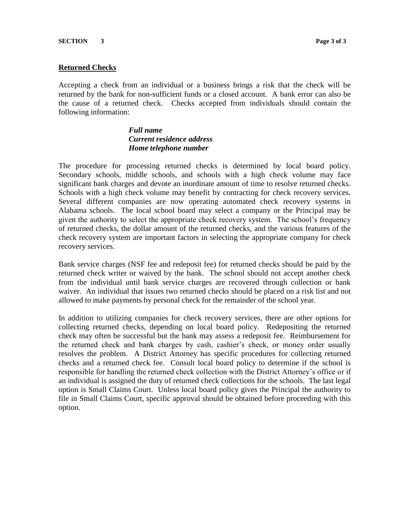#### **Returned Checks**

Accepting a check from an individual or a business brings a risk that the check will be returned by the bank for non-sufficient funds or a closed account. A bank error can also be the cause of a returned check. Checks accepted from individuals should contain the following information:

# *Full name Current residence address Home telephone number*

The procedure for processing returned checks is determined by local board policy. Secondary schools, middle schools, and schools with a high check volume may face significant bank charges and devote an inordinate amount of time to resolve returned checks. Schools with a high check volume may benefit by contracting for check recovery services. Several different companies are now operating automated check recovery systems in Alabama schools. The local school board may select a company or the Principal may be given the authority to select the appropriate check recovery system. The school's frequency of returned checks, the dollar amount of the returned checks, and the various features of the check recovery system are important factors in selecting the appropriate company for check recovery services.

Bank service charges (NSF fee and redeposit fee) for returned checks should be paid by the returned check writer or waived by the bank. The school should not accept another check from the individual until bank service charges are recovered through collection or bank waiver. An individual that issues two returned checks should be placed on a risk list and not allowed to make payments by personal check for the remainder of the school year.

In addition to utilizing companies for check recovery services, there are other options for collecting returned checks, depending on local board policy. Redepositing the returned check may often be successful but the bank may assess a redeposit fee. Reimbursement for the returned check and bank charges by cash, cashier's check, or money order usually resolves the problem. A District Attorney has specific procedures for collecting returned checks and a returned check fee. Consult local board policy to determine if the school is responsible for handling the returned check collection with the District Attorney's office or if an individual is assigned the duty of returned check collections for the schools. The last legal option is Small Claims Court. Unless local board policy gives the Principal the authority to file in Small Claims Court, specific approval should be obtained before proceeding with this option.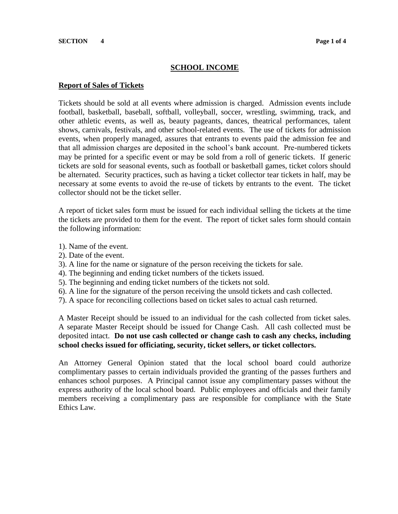#### **SCHOOL INCOME**

#### **Report of Sales of Tickets**

Tickets should be sold at all events where admission is charged. Admission events include football, basketball, baseball, softball, volleyball, soccer, wrestling, swimming, track, and other athletic events, as well as, beauty pageants, dances, theatrical performances, talent shows, carnivals, festivals, and other school-related events. The use of tickets for admission events, when properly managed, assures that entrants to events paid the admission fee and that all admission charges are deposited in the school's bank account. Pre-numbered tickets may be printed for a specific event or may be sold from a roll of generic tickets. If generic tickets are sold for seasonal events, such as football or basketball games, ticket colors should be alternated. Security practices, such as having a ticket collector tear tickets in half, may be necessary at some events to avoid the re-use of tickets by entrants to the event. The ticket collector should not be the ticket seller.

A report of ticket sales form must be issued for each individual selling the tickets at the time the tickets are provided to them for the event. The report of ticket sales form should contain the following information:

- 1). Name of the event.
- 2). Date of the event.
- 3). A line for the name or signature of the person receiving the tickets for sale.
- 4). The beginning and ending ticket numbers of the tickets issued.
- 5). The beginning and ending ticket numbers of the tickets not sold.
- 6). A line for the signature of the person receiving the unsold tickets and cash collected.
- 7). A space for reconciling collections based on ticket sales to actual cash returned.

A Master Receipt should be issued to an individual for the cash collected from ticket sales. A separate Master Receipt should be issued for Change Cash. All cash collected must be deposited intact. **Do not use cash collected or change cash to cash any checks, including school checks issued for officiating, security, ticket sellers, or ticket collectors.**

An Attorney General Opinion stated that the local school board could authorize complimentary passes to certain individuals provided the granting of the passes furthers and enhances school purposes. A Principal cannot issue any complimentary passes without the express authority of the local school board. Public employees and officials and their family members receiving a complimentary pass are responsible for compliance with the State Ethics Law.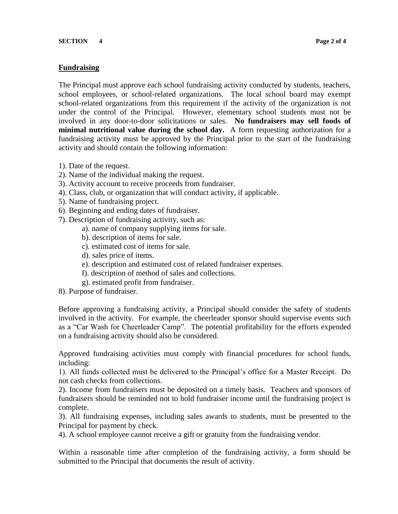# **Fundraising**

The Principal must approve each school fundraising activity conducted by students, teachers, school employees, or school-related organizations. The local school board may exempt school-related organizations from this requirement if the activity of the organization is not under the control of the Principal. However, elementary school students must not be involved in any door-to-door solicitations or sales. **No fundraisers may sell foods of minimal nutritional value during the school day.** A form requesting authorization for a fundraising activity must be approved by the Principal prior to the start of the fundraising activity and should contain the following information:

- 1). Date of the request.
- 2). Name of the individual making the request.
- 3). Activity account to receive proceeds from fundraiser.
- 4). Class, club, or organization that will conduct activity, if applicable.
- 5). Name of fundraising project.
- 6). Beginning and ending dates of fundraiser.
- 7). Description of fundraising activity, such as:
	- a). name of company supplying items for sale.
	- b). description of items for sale.
	- c). estimated cost of items for sale.
	- d). sales price of items.
	- e). description and estimated cost of related fundraiser expenses.
	- f). description of method of sales and collections.
	- g). estimated profit from fundraiser.
- 8). Purpose of fundraiser.

Before approving a fundraising activity, a Principal should consider the safety of students involved in the activity. For example, the cheerleader sponsor should supervise events such as a "Car Wash for Cheerleader Camp". The potential profitability for the efforts expended on a fundraising activity should also be considered.

Approved fundraising activities must comply with financial procedures for school funds, including:

1). All funds collected must be delivered to the Principal's office for a Master Receipt. Do not cash checks from collections.

2). Income from fundraisers must be deposited on a timely basis. Teachers and sponsors of fundraisers should be reminded not to hold fundraiser income until the fundraising project is complete.

3). All fundraising expenses, including sales awards to students, must be presented to the Principal for payment by check.

4). A school employee cannot receive a gift or gratuity from the fundraising vendor.

Within a reasonable time after completion of the fundraising activity, a form should be submitted to the Principal that documents the result of activity.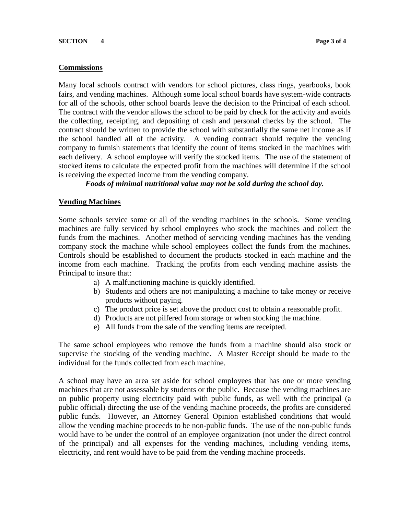#### **Commissions**

Many local schools contract with vendors for school pictures, class rings, yearbooks, book fairs, and vending machines. Although some local school boards have system-wide contracts for all of the schools, other school boards leave the decision to the Principal of each school. The contract with the vendor allows the school to be paid by check for the activity and avoids the collecting, receipting, and depositing of cash and personal checks by the school. The contract should be written to provide the school with substantially the same net income as if the school handled all of the activity. A vending contract should require the vending company to furnish statements that identify the count of items stocked in the machines with each delivery. A school employee will verify the stocked items. The use of the statement of stocked items to calculate the expected profit from the machines will determine if the school is receiving the expected income from the vending company.

#### *Foods of minimal nutritional value may not be sold during the school day.*

#### **Vending Machines**

Some schools service some or all of the vending machines in the schools. Some vending machines are fully serviced by school employees who stock the machines and collect the funds from the machines. Another method of servicing vending machines has the vending company stock the machine while school employees collect the funds from the machines. Controls should be established to document the products stocked in each machine and the income from each machine. Tracking the profits from each vending machine assists the Principal to insure that:

- a) A malfunctioning machine is quickly identified.
- b) Students and others are not manipulating a machine to take money or receive products without paying.
- c) The product price is set above the product cost to obtain a reasonable profit.
- d) Products are not pilfered from storage or when stocking the machine.
- e) All funds from the sale of the vending items are receipted.

The same school employees who remove the funds from a machine should also stock or supervise the stocking of the vending machine. A Master Receipt should be made to the individual for the funds collected from each machine.

A school may have an area set aside for school employees that has one or more vending machines that are not assessable by students or the public. Because the vending machines are on public property using electricity paid with public funds, as well with the principal (a public official) directing the use of the vending machine proceeds, the profits are considered public funds. However, an Attorney General Opinion established conditions that would allow the vending machine proceeds to be non-public funds. The use of the non-public funds would have to be under the control of an employee organization (not under the direct control of the principal) and all expenses for the vending machines, including vending items, electricity, and rent would have to be paid from the vending machine proceeds.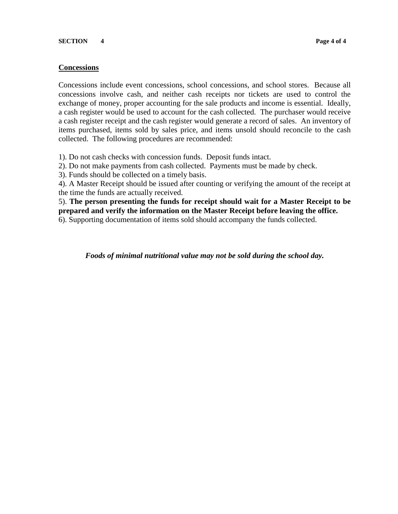### **Concessions**

Concessions include event concessions, school concessions, and school stores. Because all concessions involve cash, and neither cash receipts nor tickets are used to control the exchange of money, proper accounting for the sale products and income is essential. Ideally, a cash register would be used to account for the cash collected. The purchaser would receive a cash register receipt and the cash register would generate a record of sales. An inventory of items purchased, items sold by sales price, and items unsold should reconcile to the cash collected. The following procedures are recommended:

1). Do not cash checks with concession funds. Deposit funds intact.

2). Do not make payments from cash collected. Payments must be made by check.

3). Funds should be collected on a timely basis.

4). A Master Receipt should be issued after counting or verifying the amount of the receipt at the time the funds are actually received.

5). **The person presenting the funds for receipt should wait for a Master Receipt to be prepared and verify the information on the Master Receipt before leaving the office.**

6). Supporting documentation of items sold should accompany the funds collected.

*Foods of minimal nutritional value may not be sold during the school day.*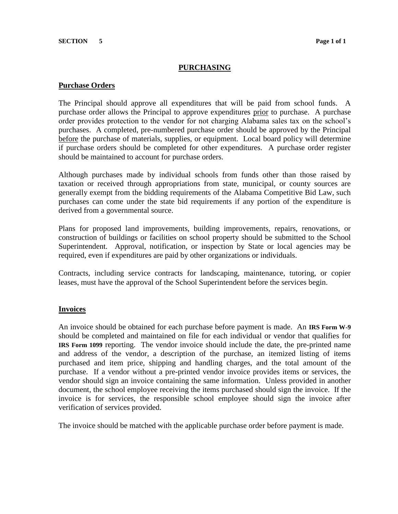# **PURCHASING**

#### **Purchase Orders**

The Principal should approve all expenditures that will be paid from school funds. A purchase order allows the Principal to approve expenditures prior to purchase. A purchase order provides protection to the vendor for not charging Alabama sales tax on the school's purchases. A completed, pre-numbered purchase order should be approved by the Principal before the purchase of materials, supplies, or equipment. Local board policy will determine if purchase orders should be completed for other expenditures. A purchase order register should be maintained to account for purchase orders.

Although purchases made by individual schools from funds other than those raised by taxation or received through appropriations from state, municipal, or county sources are generally exempt from the bidding requirements of the Alabama Competitive Bid Law, such purchases can come under the state bid requirements if any portion of the expenditure is derived from a governmental source.

Plans for proposed land improvements, building improvements, repairs, renovations, or construction of buildings or facilities on school property should be submitted to the School Superintendent. Approval, notification, or inspection by State or local agencies may be required, even if expenditures are paid by other organizations or individuals.

Contracts, including service contracts for landscaping, maintenance, tutoring, or copier leases, must have the approval of the School Superintendent before the services begin.

#### **Invoices**

An invoice should be obtained for each purchase before payment is made. An **IRS Form W-9** should be completed and maintained on file for each individual or vendor that qualifies for **IRS Form 1099** reporting. The vendor invoice should include the date, the pre-printed name and address of the vendor, a description of the purchase, an itemized listing of items purchased and item price, shipping and handling charges, and the total amount of the purchase. If a vendor without a pre-printed vendor invoice provides items or services, the vendor should sign an invoice containing the same information. Unless provided in another document, the school employee receiving the items purchased should sign the invoice. If the invoice is for services, the responsible school employee should sign the invoice after verification of services provided.

The invoice should be matched with the applicable purchase order before payment is made.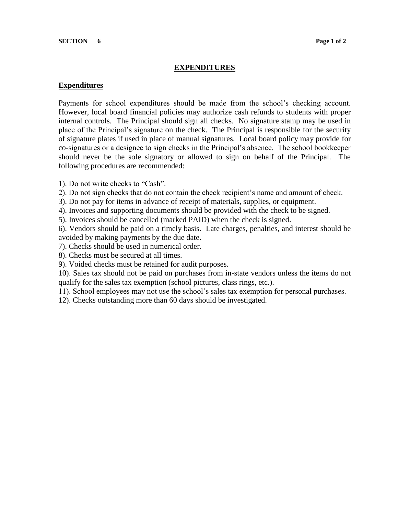#### **EXPENDITURES**

#### **Expenditures**

Payments for school expenditures should be made from the school's checking account. However, local board financial policies may authorize cash refunds to students with proper internal controls. The Principal should sign all checks. No signature stamp may be used in place of the Principal's signature on the check. The Principal is responsible for the security of signature plates if used in place of manual signatures. Local board policy may provide for co-signatures or a designee to sign checks in the Principal's absence. The school bookkeeper should never be the sole signatory or allowed to sign on behalf of the Principal. The following procedures are recommended:

- 1). Do not write checks to "Cash".
- 2). Do not sign checks that do not contain the check recipient's name and amount of check.
- 3). Do not pay for items in advance of receipt of materials, supplies, or equipment.
- 4). Invoices and supporting documents should be provided with the check to be signed.
- 5). Invoices should be cancelled (marked PAID) when the check is signed.

6). Vendors should be paid on a timely basis. Late charges, penalties, and interest should be avoided by making payments by the due date.

- 7). Checks should be used in numerical order.
- 8). Checks must be secured at all times.
- 9). Voided checks must be retained for audit purposes.

10). Sales tax should not be paid on purchases from in-state vendors unless the items do not qualify for the sales tax exemption (school pictures, class rings, etc.).

- 11). School employees may not use the school's sales tax exemption for personal purchases.
- 12). Checks outstanding more than 60 days should be investigated.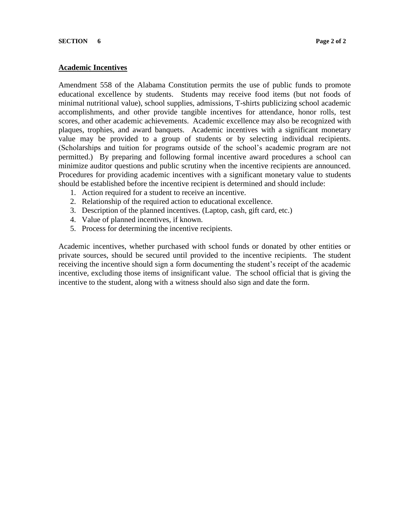# **Academic Incentives**

Amendment 558 of the Alabama Constitution permits the use of public funds to promote educational excellence by students. Students may receive food items (but not foods of minimal nutritional value), school supplies, admissions, T-shirts publicizing school academic accomplishments, and other provide tangible incentives for attendance, honor rolls, test scores, and other academic achievements. Academic excellence may also be recognized with plaques, trophies, and award banquets. Academic incentives with a significant monetary value may be provided to a group of students or by selecting individual recipients. (Scholarships and tuition for programs outside of the school's academic program are not permitted.) By preparing and following formal incentive award procedures a school can minimize auditor questions and public scrutiny when the incentive recipients are announced. Procedures for providing academic incentives with a significant monetary value to students should be established before the incentive recipient is determined and should include:

- 1. Action required for a student to receive an incentive.
- 2. Relationship of the required action to educational excellence.
- 3. Description of the planned incentives. (Laptop, cash, gift card, etc.)
- 4. Value of planned incentives, if known.
- 5. Process for determining the incentive recipients.

Academic incentives, whether purchased with school funds or donated by other entities or private sources, should be secured until provided to the incentive recipients. The student receiving the incentive should sign a form documenting the student's receipt of the academic incentive, excluding those items of insignificant value. The school official that is giving the incentive to the student, along with a witness should also sign and date the form.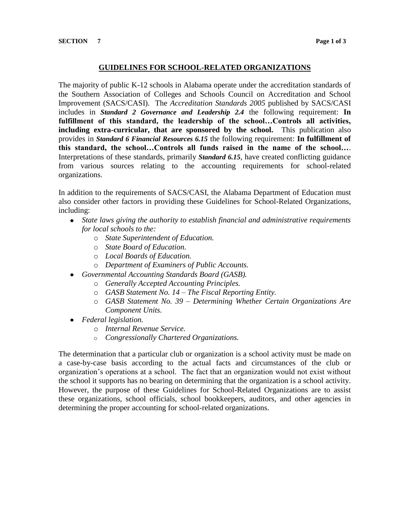### **GUIDELINES FOR SCHOOL-RELATED ORGANIZATIONS**

The majority of public K-12 schools in Alabama operate under the accreditation standards of the Southern Association of Colleges and Schools Council on Accreditation and School Improvement (SACS/CASI). The *Accreditation Standards 2005* published by SACS/CASI includes in *Standard 2 Governance and Leadership 2.4* the following requirement: **In fulfillment of this standard, the leadership of the school…Controls all activities, including extra-curricular, that are sponsored by the school.** This publication also provides in *Standard 6 Financial Resources 6.15* the following requirement: **In fulfillment of this standard, the school…Controls all funds raised in the name of the school…**. Interpretations of these standards, primarily *Standard 6.15*, have created conflicting guidance from various sources relating to the accounting requirements for school-related organizations.

In addition to the requirements of SACS/CASI, the Alabama Department of Education must also consider other factors in providing these Guidelines for School-Related Organizations, including:

- *State laws giving the authority to establish financial and administrative requirements for local schools to the:*
	- o *State Superintendent of Education.*
	- o *State Board of Education.*
	- o *Local Boards of Education.*
	- o *Department of Examiners of Public Accounts.*
- *Governmental Accounting Standards Board (GASB).*
	- o *Generally Accepted Accounting Principles.*
	- o *GASB Statement No. 14 – The Fiscal Reporting Entity.*
	- o *GASB Statement No. 39 – Determining Whether Certain Organizations Are Component Units.*
- *Federal legislation.*
	- o *Internal Revenue Service.*
	- o *Congressionally Chartered Organizations.*

The determination that a particular club or organization is a school activity must be made on a case-by-case basis according to the actual facts and circumstances of the club or organization's operations at a school. The fact that an organization would not exist without the school it supports has no bearing on determining that the organization is a school activity. However, the purpose of these Guidelines for School-Related Organizations are to assist these organizations, school officials, school bookkeepers, auditors, and other agencies in determining the proper accounting for school-related organizations.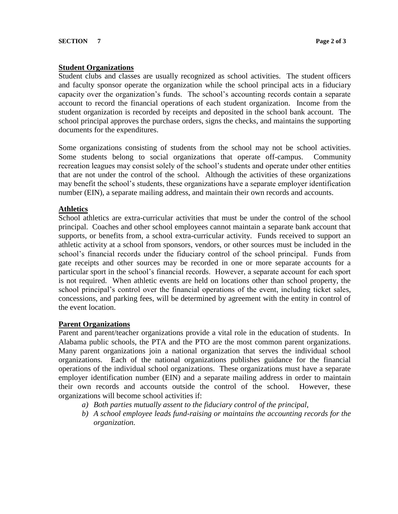#### **Student Organizations**

Student clubs and classes are usually recognized as school activities. The student officers and faculty sponsor operate the organization while the school principal acts in a fiduciary capacity over the organization's funds. The school's accounting records contain a separate account to record the financial operations of each student organization. Income from the student organization is recorded by receipts and deposited in the school bank account. The school principal approves the purchase orders, signs the checks, and maintains the supporting documents for the expenditures.

Some organizations consisting of students from the school may not be school activities. Some students belong to social organizations that operate off-campus. Community recreation leagues may consist solely of the school's students and operate under other entities that are not under the control of the school. Although the activities of these organizations may benefit the school's students, these organizations have a separate employer identification number (EIN), a separate mailing address, and maintain their own records and accounts.

#### **Athletics**

School athletics are extra-curricular activities that must be under the control of the school principal. Coaches and other school employees cannot maintain a separate bank account that supports, or benefits from, a school extra-curricular activity. Funds received to support an athletic activity at a school from sponsors, vendors, or other sources must be included in the school's financial records under the fiduciary control of the school principal. Funds from gate receipts and other sources may be recorded in one or more separate accounts for a particular sport in the school's financial records. However, a separate account for each sport is not required. When athletic events are held on locations other than school property, the school principal's control over the financial operations of the event, including ticket sales, concessions, and parking fees, will be determined by agreement with the entity in control of the event location.

#### **Parent Organizations**

Parent and parent/teacher organizations provide a vital role in the education of students. In Alabama public schools, the PTA and the PTO are the most common parent organizations. Many parent organizations join a national organization that serves the individual school organizations. Each of the national organizations publishes guidance for the financial operations of the individual school organizations. These organizations must have a separate employer identification number (EIN) and a separate mailing address in order to maintain their own records and accounts outside the control of the school. However, these organizations will become school activities if:

- *a) Both parties mutually assent to the fiduciary control of the principal,*
- *b) A school employee leads fund-raising or maintains the accounting records for the organization.*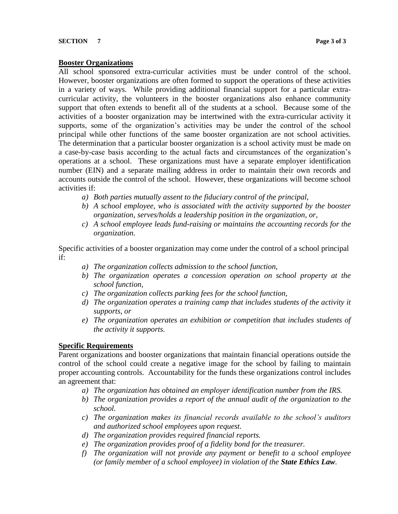#### **Booster Organizations**

All school sponsored extra-curricular activities must be under control of the school. However, booster organizations are often formed to support the operations of these activities in a variety of ways. While providing additional financial support for a particular extracurricular activity, the volunteers in the booster organizations also enhance community support that often extends to benefit all of the students at a school. Because some of the activities of a booster organization may be intertwined with the extra-curricular activity it supports, some of the organization's activities may be under the control of the school principal while other functions of the same booster organization are not school activities. The determination that a particular booster organization is a school activity must be made on a case-by-case basis according to the actual facts and circumstances of the organization's operations at a school. These organizations must have a separate employer identification number (EIN) and a separate mailing address in order to maintain their own records and accounts outside the control of the school. However, these organizations will become school activities if:

- *a) Both parties mutually assent to the fiduciary control of the principal,*
- *b) A school employee, who is associated with the activity supported by the booster organization, serves/holds a leadership position in the organization, or,*
- *c) A school employee leads fund-raising or maintains the accounting records for the organization.*

Specific activities of a booster organization may come under the control of a school principal if:

- *a) The organization collects admission to the school function,*
- *b) The organization operates a concession operation on school property at the school function,*
- *c) The organization collects parking fees for the school function,*
- *d) The organization operates a training camp that includes students of the activity it supports, or*
- *e) The organization operates an exhibition or competition that includes students of the activity it supports.*

# **Specific Requirements**

Parent organizations and booster organizations that maintain financial operations outside the control of the school could create a negative image for the school by failing to maintain proper accounting controls. Accountability for the funds these organizations control includes an agreement that:

- *a) The organization has obtained an employer identification number from the IRS.*
- *b) The organization provides a report of the annual audit of the organization to the school.*
- *c) The organization makes its financial records available to the school's auditors and authorized school employees upon request.*
- *d) The organization provides required financial reports.*
- *e) The organization provides proof of a fidelity bond for the treasurer.*
- *f) The organization will not provide any payment or benefit to a school employee (or family member of a school employee) in violation of the State Ethics Law.*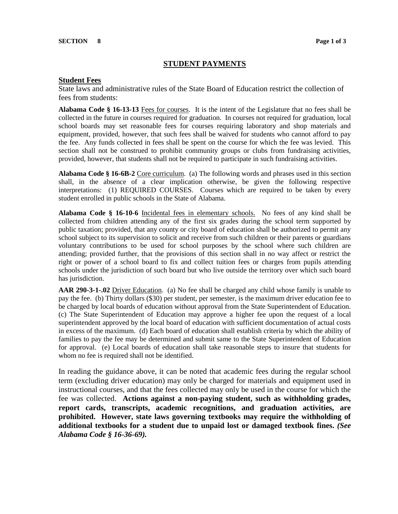# **STUDENT PAYMENTS**

#### **Student Fees**

State laws and administrative rules of the State Board of Education restrict the collection of fees from students:

**Alabama Code § 16-13-13** Fees for courses. It is the intent of the Legislature that no fees shall be collected in the future in courses required for graduation. In courses not required for graduation, local school boards may set reasonable fees for courses requiring laboratory and shop materials and equipment, provided, however, that such fees shall be waived for students who cannot afford to pay the fee. Any funds collected in fees shall be spent on the course for which the fee was levied. This section shall not be construed to prohibit community groups or clubs from fundraising activities, provided, however, that students shall not be required to participate in such fundraising activities.

**Alabama Code § 16-6B-2** Core curriculum. (a) The following words and phrases used in this section shall, in the absence of a clear implication otherwise, be given the following respective interpretations: (1) REQUIRED COURSES. Courses which are required to be taken by every student enrolled in public schools in the State of Alabama.

**Alabama Code § 16-10-6** Incidental fees in elementary schools. No fees of any kind shall be collected from children attending any of the first six grades during the school term supported by public taxation; provided, that any county or city board of education shall be authorized to permit any school subject to its supervision to solicit and receive from such children or their parents or guardians voluntary contributions to be used for school purposes by the school where such children are attending; provided further, that the provisions of this section shall in no way affect or restrict the right or power of a school board to fix and collect tuition fees or charges from pupils attending schools under the jurisdiction of such board but who live outside the territory over which such board has jurisdiction.

**AAR 290-3-1-.02** Driver Education. (a) No fee shall be charged any child whose family is unable to pay the fee. (b) Thirty dollars (\$30) per student, per semester, is the maximum driver education fee to be charged by local boards of education without approval from the State Superintendent of Education. (c) The State Superintendent of Education may approve a higher fee upon the request of a local superintendent approved by the local board of education with sufficient documentation of actual costs in excess of the maximum. (d) Each board of education shall establish criteria by which the ability of families to pay the fee may be determined and submit same to the State Superintendent of Education for approval. (e) Local boards of education shall take reasonable steps to insure that students for whom no fee is required shall not be identified.

In reading the guidance above, it can be noted that academic fees during the regular school term (excluding driver education) may only be charged for materials and equipment used in instructional courses, and that the fees collected may only be used in the course for which the fee was collected. **Actions against a non-paying student, such as withholding grades, report cards, transcripts, academic recognitions, and graduation activities, are prohibited. However, state laws governing textbooks may require the withholding of additional textbooks for a student due to unpaid lost or damaged textbook fines.** *(See Alabama Code § 16-36-69).*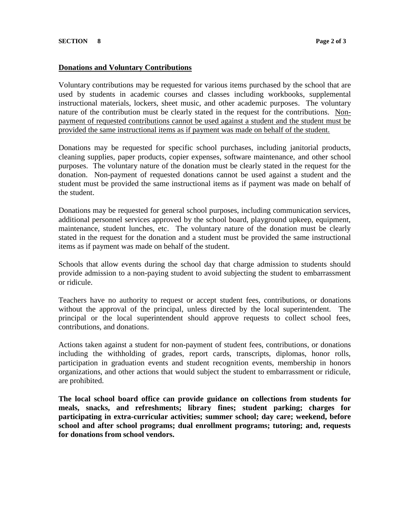#### **Donations and Voluntary Contributions**

Voluntary contributions may be requested for various items purchased by the school that are used by students in academic courses and classes including workbooks, supplemental instructional materials, lockers, sheet music, and other academic purposes. The voluntary nature of the contribution must be clearly stated in the request for the contributions. Nonpayment of requested contributions cannot be used against a student and the student must be provided the same instructional items as if payment was made on behalf of the student.

Donations may be requested for specific school purchases, including janitorial products, cleaning supplies, paper products, copier expenses, software maintenance, and other school purposes. The voluntary nature of the donation must be clearly stated in the request for the donation. Non-payment of requested donations cannot be used against a student and the student must be provided the same instructional items as if payment was made on behalf of the student.

Donations may be requested for general school purposes, including communication services, additional personnel services approved by the school board, playground upkeep, equipment, maintenance, student lunches, etc. The voluntary nature of the donation must be clearly stated in the request for the donation and a student must be provided the same instructional items as if payment was made on behalf of the student.

Schools that allow events during the school day that charge admission to students should provide admission to a non-paying student to avoid subjecting the student to embarrassment or ridicule.

Teachers have no authority to request or accept student fees, contributions, or donations without the approval of the principal, unless directed by the local superintendent. The principal or the local superintendent should approve requests to collect school fees, contributions, and donations.

Actions taken against a student for non-payment of student fees, contributions, or donations including the withholding of grades, report cards, transcripts, diplomas, honor rolls, participation in graduation events and student recognition events, membership in honors organizations, and other actions that would subject the student to embarrassment or ridicule, are prohibited.

**The local school board office can provide guidance on collections from students for meals, snacks, and refreshments; library fines; student parking; charges for participating in extra-curricular activities; summer school; day care; weekend, before school and after school programs; dual enrollment programs; tutoring; and, requests for donations from school vendors.**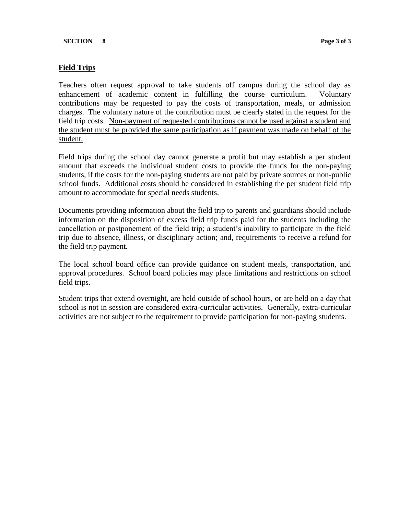# **Field Trips**

Teachers often request approval to take students off campus during the school day as enhancement of academic content in fulfilling the course curriculum. Voluntary contributions may be requested to pay the costs of transportation, meals, or admission charges. The voluntary nature of the contribution must be clearly stated in the request for the field trip costs. Non-payment of requested contributions cannot be used against a student and the student must be provided the same participation as if payment was made on behalf of the student.

Field trips during the school day cannot generate a profit but may establish a per student amount that exceeds the individual student costs to provide the funds for the non-paying students, if the costs for the non-paying students are not paid by private sources or non-public school funds. Additional costs should be considered in establishing the per student field trip amount to accommodate for special needs students.

Documents providing information about the field trip to parents and guardians should include information on the disposition of excess field trip funds paid for the students including the cancellation or postponement of the field trip; a student's inability to participate in the field trip due to absence, illness, or disciplinary action; and, requirements to receive a refund for the field trip payment.

The local school board office can provide guidance on student meals, transportation, and approval procedures. School board policies may place limitations and restrictions on school field trips.

Student trips that extend overnight, are held outside of school hours, or are held on a day that school is not in session are considered extra-curricular activities. Generally, extra-curricular activities are not subject to the requirement to provide participation for non-paying students.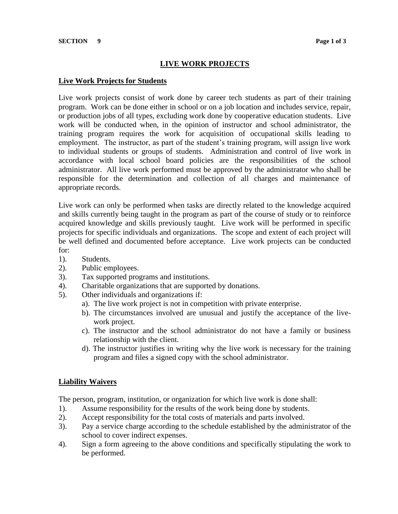# **LIVE WORK PROJECTS**

#### **Live Work Projects for Students**

Live work projects consist of work done by career tech students as part of their training program. Work can be done either in school or on a job location and includes service, repair, or production jobs of all types, excluding work done by cooperative education students. Live work will be conducted when, in the opinion of instructor and school administrator, the training program requires the work for acquisition of occupational skills leading to employment. The instructor, as part of the student's training program, will assign live work to individual students or groups of students. Administration and control of live work in accordance with local school board policies are the responsibilities of the school administrator. All live work performed must be approved by the administrator who shall be responsible for the determination and collection of all charges and maintenance of appropriate records.

Live work can only be performed when tasks are directly related to the knowledge acquired and skills currently being taught in the program as part of the course of study or to reinforce acquired knowledge and skills previously taught. Live work will be performed in specific projects for specific individuals and organizations. The scope and extent of each project will be well defined and documented before acceptance. Live work projects can be conducted for:

- 1). Students.
- 2). Public employees.
- 3). Tax supported programs and institutions.
- 4). Charitable organizations that are supported by donations.
- 5). Other individuals and organizations if:
	- a). The live work project is not in competition with private enterprise.
	- b). The circumstances involved are unusual and justify the acceptance of the livework project.
	- c). The instructor and the school administrator do not have a family or business relationship with the client.
	- d). The instructor justifies in writing why the live work is necessary for the training program and files a signed copy with the school administrator.

#### **Liability Waivers**

The person, program, institution, or organization for which live work is done shall:

- 1). Assume responsibility for the results of the work being done by students.
- 2). Accept responsibility for the total costs of materials and parts involved.
- 3). Pay a service charge according to the schedule established by the administrator of the school to cover indirect expenses.
- 4). Sign a form agreeing to the above conditions and specifically stipulating the work to be performed.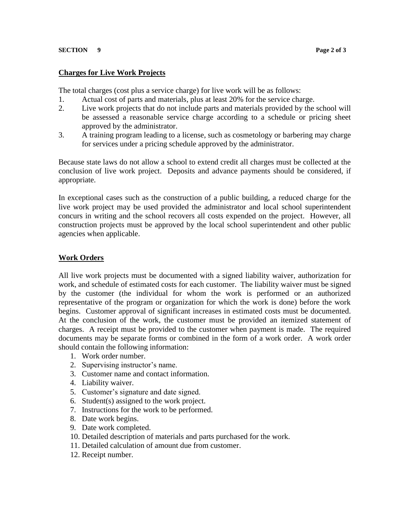#### **SECTION 9 Page 2 of 3**

#### **Charges for Live Work Projects**

The total charges (cost plus a service charge) for live work will be as follows:

- 1. Actual cost of parts and materials, plus at least 20% for the service charge.
- 2. Live work projects that do not include parts and materials provided by the school will be assessed a reasonable service charge according to a schedule or pricing sheet approved by the administrator.
- 3. A training program leading to a license, such as cosmetology or barbering may charge for services under a pricing schedule approved by the administrator.

Because state laws do not allow a school to extend credit all charges must be collected at the conclusion of live work project. Deposits and advance payments should be considered, if appropriate.

In exceptional cases such as the construction of a public building, a reduced charge for the live work project may be used provided the administrator and local school superintendent concurs in writing and the school recovers all costs expended on the project. However, all construction projects must be approved by the local school superintendent and other public agencies when applicable.

# **Work Orders**

All live work projects must be documented with a signed liability waiver, authorization for work, and schedule of estimated costs for each customer. The liability waiver must be signed by the customer (the individual for whom the work is performed or an authorized representative of the program or organization for which the work is done) before the work begins. Customer approval of significant increases in estimated costs must be documented. At the conclusion of the work, the customer must be provided an itemized statement of charges. A receipt must be provided to the customer when payment is made. The required documents may be separate forms or combined in the form of a work order. A work order should contain the following information:

- 1. Work order number.
- 2. Supervising instructor's name.
- 3. Customer name and contact information.
- 4. Liability waiver.
- 5. Customer's signature and date signed.
- 6. Student(s) assigned to the work project.
- 7. Instructions for the work to be performed.
- 8. Date work begins.
- 9. Date work completed.
- 10. Detailed description of materials and parts purchased for the work.
- 11. Detailed calculation of amount due from customer.
- 12. Receipt number.